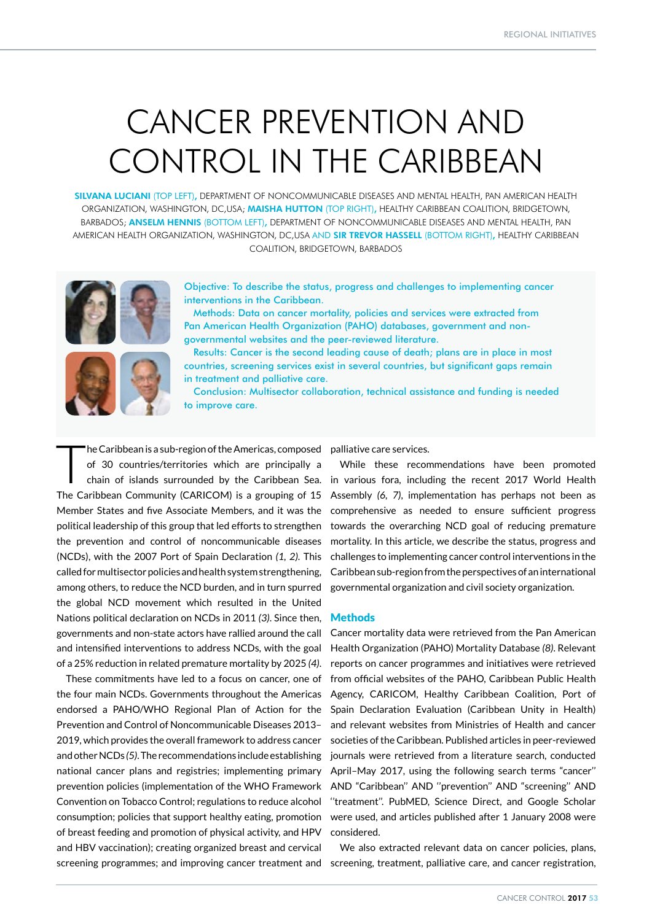# CANCER PREVENTION AND CONTROL IN THE CARIBBEAN

SILVANA LUCIANI (TOP LEFT), DEPARTMENT OF NONCOMMUNICABLE DISEASES AND MENTAL HEALTH, PAN AMERICAN HEALTH ORGANIZATION, WASHINGTON, DC,USA; MAISHA HUTTON (TOP RIGHT), HEALTHY CARIBBEAN COALITION, BRIDGETOWN, BARBADOS; ANSELM HENNIS (BOTTOM LEFT), DEPARTMENT OF NONCOMMUNICABLE DISEASES AND MENTAL HEALTH, PAN AMERICAN HEALTH ORGANIZATION, WASHINGTON, DC,USA AND SIR TREVOR HASSELL (BOTTOM RIGHT), HEALTHY CARIBBEAN COALITION, BRIDGETOWN, BARBADOS





Methods: Data on cancer mortality, policies and services were extracted from Pan American Health Organization (PAHO) databases, government and nongovernmental websites and the peer-reviewed literature.



Results: Cancer is the second leading cause of death; plans are in place in most countries, screening services exist in several countries, but significant gaps remain in treatment and palliative care.

Conclusion: Multisector collaboration, technical assistance and funding is needed to improve care.

'he Caribbean is a sub-region of the Americas, composed of 30 countries/territories which are principally a chain of islands surrounded by the Caribbean Sea. The Caribbean Community (CARICOM) is a grouping of 15 Member States and five Associate Members, and it was the political leadership of this group that led efforts to strengthen the prevention and control of noncommunicable diseases (NCDs), with the 2007 Port of Spain Declaration *(1, 2)*. This called for multisector policies and health system strengthening, among others, to reduce the NCD burden, and in turn spurred the global NCD movement which resulted in the United Nations political declaration on NCDs in 2011 *(3)*. Since then, governments and non-state actors have rallied around the call and intensified interventions to address NCDs, with the goal of a 25% reduction in related premature mortality by 2025 *(4)*.

These commitments have led to a focus on cancer, one of the four main NCDs. Governments throughout the Americas endorsed a PAHO/WHO Regional Plan of Action for the Prevention and Control of Noncommunicable Diseases 2013– 2019, which provides the overall framework to address cancer and other NCDs *(5)*. The recommendations include establishing national cancer plans and registries; implementing primary prevention policies (implementation of the WHO Framework Convention on Tobacco Control; regulations to reduce alcohol consumption; policies that support healthy eating, promotion of breast feeding and promotion of physical activity, and HPV and HBV vaccination); creating organized breast and cervical

palliative care services.

While these recommendations have been promoted in various fora, including the recent 2017 World Health Assembly *(6, 7)*, implementation has perhaps not been as comprehensive as needed to ensure sufficient progress towards the overarching NCD goal of reducing premature mortality. In this article, we describe the status, progress and challenges to implementing cancer control interventions in the Caribbean sub-region from the perspectives of an international governmental organization and civil society organization.

## **Methods**

Cancer mortality data were retrieved from the Pan American Health Organization (PAHO) Mortality Database *(8)*. Relevant reports on cancer programmes and initiatives were retrieved from official websites of the PAHO, Caribbean Public Health Agency, CARICOM, Healthy Caribbean Coalition, Port of Spain Declaration Evaluation (Caribbean Unity in Health) and relevant websites from Ministries of Health and cancer societies of the Caribbean. Published articles in peer-reviewed journals were retrieved from a literature search, conducted April–May 2017, using the following search terms "cancer'' AND "Caribbean'' AND ''prevention'' AND "screening'' AND "treatment". PubMED, Science Direct, and Google Scholar were used, and articles published after 1 January 2008 were considered.

screening programmes; and improving cancer treatment and screening, treatment, palliative care, and cancer registration, We also extracted relevant data on cancer policies, plans,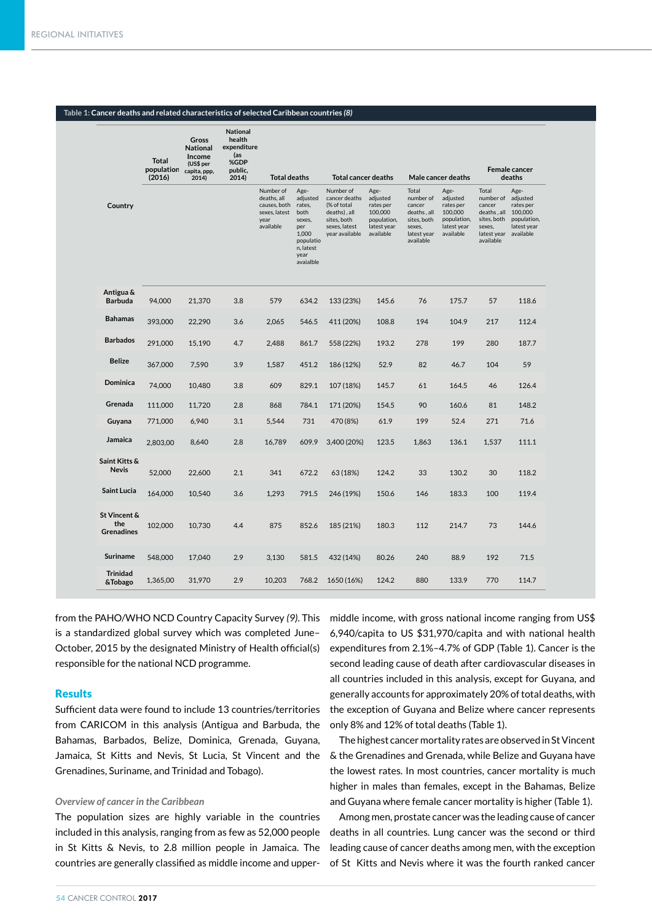#### **Table 1: Cancer deaths and related characteristics of selected Caribbean countries** *(8)*

|                                          | <b>Total</b><br>population | Gross<br><b>National</b><br>Income<br>(US\$ per<br>capita, ppp, | <b>National</b><br>health<br>expenditure<br>(as<br>%GDP<br>public, |                                                                                                       |                                                                                                             |                                                                                                                                           |                                                                                     |                                                                                                  |                                                                                                           |                                                                                                            | Female cancer                                                                    |
|------------------------------------------|----------------------------|-----------------------------------------------------------------|--------------------------------------------------------------------|-------------------------------------------------------------------------------------------------------|-------------------------------------------------------------------------------------------------------------|-------------------------------------------------------------------------------------------------------------------------------------------|-------------------------------------------------------------------------------------|--------------------------------------------------------------------------------------------------|-----------------------------------------------------------------------------------------------------------|------------------------------------------------------------------------------------------------------------|----------------------------------------------------------------------------------|
| Country                                  | (2016)                     | 2014)                                                           | 2014)                                                              | <b>Total deaths</b><br>Number of<br>deaths, all<br>causes, both<br>sexes, latest<br>year<br>available | Age-<br>adjusted<br>rates,<br>both<br>sexes,<br>per<br>1,000<br>populatio<br>n, latest<br>year<br>avaialble | <b>Total cancer deaths</b><br>Number of<br>cancer deaths<br>(% of total<br>deaths), all<br>sites, both<br>sexes, latest<br>year available | Age-<br>adjusted<br>rates per<br>100,000<br>population,<br>latest year<br>available | Total<br>number of<br>cancer<br>deaths, all<br>sites, both<br>sexes,<br>latest year<br>available | Male cancer deaths<br>Age-<br>adjusted<br>rates per<br>100,000<br>population,<br>latest year<br>available | Total<br>number of<br>cancer<br>deaths, all<br>sites, both<br>sexes,<br>latest year available<br>available | deaths<br>Age-<br>adjusted<br>rates per<br>100,000<br>population,<br>latest year |
| Antigua &<br><b>Barbuda</b>              | 94,000                     | 21,370                                                          | 3.8                                                                | 579                                                                                                   | 634.2                                                                                                       | 133 (23%)                                                                                                                                 | 145.6                                                                               | 76                                                                                               | 175.7                                                                                                     | 57                                                                                                         | 118.6                                                                            |
| <b>Bahamas</b>                           | 393,000                    | 22,290                                                          | 3.6                                                                | 2,065                                                                                                 | 546.5                                                                                                       | 411 (20%)                                                                                                                                 | 108.8                                                                               | 194                                                                                              | 104.9                                                                                                     | 217                                                                                                        | 112.4                                                                            |
| <b>Barbados</b>                          | 291,000                    | 15,190                                                          | 4.7                                                                | 2,488                                                                                                 | 861.7                                                                                                       | 558 (22%)                                                                                                                                 | 193.2                                                                               | 278                                                                                              | 199                                                                                                       | 280                                                                                                        | 187.7                                                                            |
| <b>Belize</b>                            | 367,000                    | 7,590                                                           | 3.9                                                                | 1,587                                                                                                 | 451.2                                                                                                       | 186 (12%)                                                                                                                                 | 52.9                                                                                | 82                                                                                               | 46.7                                                                                                      | 104                                                                                                        | 59                                                                               |
| <b>Dominica</b>                          | 74,000                     | 10,480                                                          | 3.8                                                                | 609                                                                                                   | 829.1                                                                                                       | 107 (18%)                                                                                                                                 | 145.7                                                                               | 61                                                                                               | 164.5                                                                                                     | 46                                                                                                         | 126.4                                                                            |
| Grenada                                  | 111,000                    | 11,720                                                          | 2.8                                                                | 868                                                                                                   | 784.1                                                                                                       | 171 (20%)                                                                                                                                 | 154.5                                                                               | 90                                                                                               | 160.6                                                                                                     | 81                                                                                                         | 148.2                                                                            |
| Guyana                                   | 771,000                    | 6,940                                                           | 3.1                                                                | 5,544                                                                                                 | 731                                                                                                         | 470 (8%)                                                                                                                                  | 61.9                                                                                | 199                                                                                              | 52.4                                                                                                      | 271                                                                                                        | 71.6                                                                             |
| Jamaica                                  | 2,803,00                   | 8,640                                                           | 2.8                                                                | 16,789                                                                                                | 609.9                                                                                                       | 3,400 (20%)                                                                                                                               | 123.5                                                                               | 1,863                                                                                            | 136.1                                                                                                     | 1,537                                                                                                      | 111.1                                                                            |
| Saint Kitts &<br><b>Nevis</b>            | 52,000                     | 22,600                                                          | 2.1                                                                | 341                                                                                                   | 672.2                                                                                                       | 63 (18%)                                                                                                                                  | 124.2                                                                               | 33                                                                                               | 130.2                                                                                                     | 30                                                                                                         | 118.2                                                                            |
| <b>Saint Lucia</b>                       | 164,000                    | 10,540                                                          | 3.6                                                                | 1,293                                                                                                 | 791.5                                                                                                       | 246 (19%)                                                                                                                                 | 150.6                                                                               | 146                                                                                              | 183.3                                                                                                     | 100                                                                                                        | 119.4                                                                            |
| St Vincent &<br>the<br><b>Grenadines</b> | 102.000                    | 10.730                                                          | 4.4                                                                | 875                                                                                                   | 852.6                                                                                                       | 185 (21%)                                                                                                                                 | 180.3                                                                               | 112                                                                                              | 214.7                                                                                                     | 73                                                                                                         | 144.6                                                                            |
| <b>Suriname</b>                          | 548,000                    | 17,040                                                          | 2.9                                                                | 3,130                                                                                                 | 581.5                                                                                                       | 432 (14%)                                                                                                                                 | 80.26                                                                               | 240                                                                                              | 88.9                                                                                                      | 192                                                                                                        | 71.5                                                                             |
| <b>Trinidad</b><br>&Tobago               | 1,365,00                   | 31,970                                                          | 2.9                                                                | 10,203                                                                                                | 768.2                                                                                                       | 1650 (16%)                                                                                                                                | 124.2                                                                               | 880                                                                                              | 133.9                                                                                                     | 770                                                                                                        | 114.7                                                                            |

from the PAHO/WHO NCD Country Capacity Survey *(9)*. This is a standardized global survey which was completed June– October, 2015 by the designated Ministry of Health official(s) responsible for the national NCD programme.

# **Results**

Sufficient data were found to include 13 countries/territories from CARICOM in this analysis (Antigua and Barbuda, the Bahamas, Barbados, Belize, Dominica, Grenada, Guyana, Jamaica, St Kitts and Nevis, St Lucia, St Vincent and the Grenadines, Suriname, and Trinidad and Tobago). **strategy** 

#### **Overview of cancer in the Caribbean**

The population sizes are highly variable in the countries included in this analysis, ranging from as few as 52,000 people in St Kitts & Nevis, to 2.8 million people in Jamaica. The countries are generally classified as middle income and upper-**Bahamas Report in Sumarca, The** 

• no bans on advertising

middle income, with gross national income ranging from US\$ 6,940/capita to US \$31,970/capita and with national health expenditures from 2.1%–4.7% of GDP (Table 1). Cancer is the second leading cause of death after cardiovascular diseases in all countries included in this analysis, except for Guyana, and generally accounts for approximately 20% of total deaths, with the exception of Guyana and Belize where cancer represents only 8% and 12% of total deaths (Table 1).

The highest cancer mortality rates are observed in St Vincent  $\&$  the Grenadines and Grenada, while Belize and Guyana have the lowest rates. In most countries, cancer mortality is much higher in males than females, except in the Bahamas, Belize **coverage latest year data available)** and Guyana where female cancer mortality is higher (Table 1).

Among men, prostate cancer was the leading cause of cancer deaths in all countries. Lung cancer was the second or third leading cause of cancer deaths among men, with the exception of St Kitts and Nevis where it was the fourth ranked cancer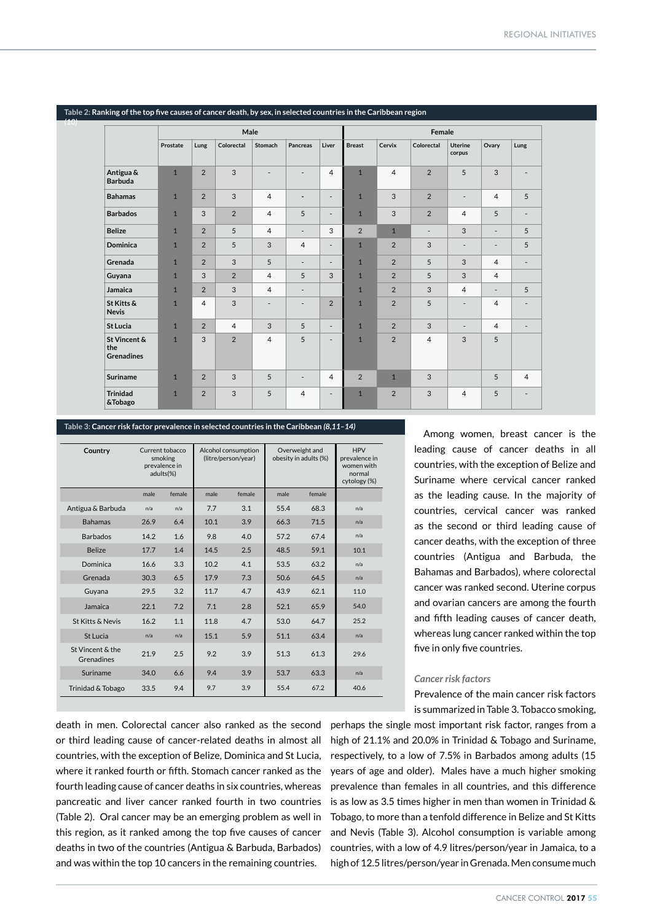|                                          |              |                | Male           |                          |                          |                          | Female         |                |                          |                              |                          |                          |  |
|------------------------------------------|--------------|----------------|----------------|--------------------------|--------------------------|--------------------------|----------------|----------------|--------------------------|------------------------------|--------------------------|--------------------------|--|
|                                          | Prostate     | Lung           | Colorectal     | Stomach                  | <b>Pancreas</b>          | Liver                    | <b>Breast</b>  | Cervix         | Colorectal               | <b>Uterine</b><br>corpus     | Ovary                    | Lung                     |  |
| Antigua &<br><b>Barbuda</b>              | $\mathbf{1}$ | $\overline{2}$ | 3              |                          | $\overline{\phantom{a}}$ | $\overline{4}$           | $\mathbf{1}$   | $\overline{4}$ | $\overline{2}$           | 5                            | 3                        | $\overline{\phantom{a}}$ |  |
| <b>Bahamas</b>                           | $\mathbf{1}$ | $\overline{2}$ | $\overline{3}$ | $\overline{4}$           | $\overline{\phantom{a}}$ | $\overline{\phantom{a}}$ | $\mathbf{1}$   | 3              | $\overline{2}$           | $\qquad \qquad \blacksquare$ | $\overline{4}$           | 5                        |  |
| <b>Barbados</b>                          | $\mathbf{1}$ | 3              | 2              | $\overline{4}$           | 5                        | $\overline{\phantom{a}}$ | $\mathbf{1}$   | 3              | $\overline{2}$           | $\overline{4}$               | 5                        | $\overline{\phantom{a}}$ |  |
| <b>Belize</b>                            | $\mathbf{1}$ | $\overline{2}$ | 5              | $\overline{4}$           | $\overline{\phantom{a}}$ | 3                        | $\overline{2}$ | $\mathbf{1}$   | $\overline{\phantom{a}}$ | 3                            | $\overline{\phantom{a}}$ | 5                        |  |
| <b>Dominica</b>                          | $\mathbf{1}$ | $\overline{2}$ | 5              | 3                        | $\overline{4}$           | $\overline{\phantom{a}}$ | $\mathbf{1}$   | $\overline{2}$ | 3                        | $\overline{\phantom{a}}$     | $\overline{\phantom{a}}$ | 5                        |  |
| Grenada                                  | $\mathbf{1}$ | $\overline{2}$ | 3              | 5                        | $\overline{\phantom{a}}$ | $\overline{\phantom{a}}$ | $\overline{1}$ | $\overline{2}$ | 5                        | 3                            | $\overline{4}$           | $\overline{\phantom{a}}$ |  |
| Guyana                                   | $\mathbf{1}$ | 3              | 2              | $\overline{4}$           | 5                        | 3                        | $\mathbf{1}$   | $\overline{2}$ | 5                        | 3                            | $\overline{4}$           |                          |  |
| Jamaica                                  | $\mathbf{1}$ | 2              | 3              | $\overline{4}$           | $\overline{\phantom{a}}$ |                          | $\mathbf{1}$   | $\overline{2}$ | 3                        | $\overline{4}$               | $\overline{\phantom{a}}$ | 5                        |  |
| St Kitts &<br><b>Nevis</b>               | $\mathbf{1}$ | $\overline{4}$ | 3              | $\overline{\phantom{a}}$ | $\overline{\phantom{a}}$ | $\overline{2}$           | $\mathbf{1}$   | $\overline{2}$ | 5                        | ٠                            | $\overline{4}$           | $\overline{\phantom{a}}$ |  |
| <b>St Lucia</b>                          | $\mathbf{1}$ | $\overline{2}$ | $\overline{4}$ | 3                        | 5                        | $\overline{\phantom{a}}$ | $\mathbf{1}$   | $\overline{2}$ | 3                        | ٠                            | $\overline{4}$           | $\overline{\phantom{a}}$ |  |
| St Vincent &<br>the<br><b>Grenadines</b> | $\mathbf{1}$ | 3              | $\overline{2}$ | $\overline{4}$           | 5                        | ٠                        | $\mathbf{1}$   | $\overline{2}$ | $\overline{4}$           | 3                            | 5                        |                          |  |
| <b>Suriname</b>                          | $\mathbf{1}$ | $\overline{2}$ | 3              | 5                        | $\overline{\phantom{a}}$ | 4                        | $\overline{2}$ | $\mathbf{1}$   | 3                        |                              | 5                        | $\overline{4}$           |  |
| <b>Trinidad</b><br>&Tobago               | $\mathbf{1}$ | $\overline{2}$ | 3              | 5                        | $\overline{4}$           | ٠                        | $\mathbf{1}$   | $\overline{2}$ | 3                        | 4                            | 5                        | $\overline{\phantom{a}}$ |  |

#### **Table 2: Ranking of the top five causes of cancer death, by sex, in selected countries in the Caribbean region**

*(10)* 

#### **Table 3: Cancer risk factor prevalence in selected countries in the Caribbean** *(8,11–14)*

| Country                        | Current tobacco<br>smoking<br>prevalence in<br>adults(%) |        |      | Alcohol consumption<br>(litre/person/year) | Overweight and<br>obesity in adults (%) | <b>HPV</b><br>prevalence in<br>women with<br>normal<br>cytology (%) |      |
|--------------------------------|----------------------------------------------------------|--------|------|--------------------------------------------|-----------------------------------------|---------------------------------------------------------------------|------|
|                                | male                                                     | female | male | female                                     | male                                    | female                                                              |      |
| Antigua & Barbuda              | n/a                                                      | n/a    | 7.7  | 3.1                                        | 55.4                                    | 68.3                                                                | n/a  |
| <b>Bahamas</b>                 | 26.9                                                     | 6.4    | 10.1 | 3.9                                        | 66.3                                    | 71.5                                                                | n/a  |
| <b>Barbados</b>                | 14.2                                                     | 1.6    | 9.8  | 4.0                                        | 57.2                                    | 67.4                                                                | n/a  |
| <b>Belize</b>                  | 17.7                                                     | 1.4    | 14.5 | 2.5                                        | 48.5                                    | 59.1                                                                | 10.1 |
| Dominica                       | 16.6                                                     | 3.3    | 10.2 | 4.1                                        | 53.5                                    | 63.2                                                                | n/a  |
| Grenada                        | 30.3                                                     | 6.5    | 17.9 | 7.3                                        | 50.6                                    | 64.5                                                                | n/a  |
| Guyana                         | 29.5                                                     | 3.2    | 11.7 | 4.7                                        | 43.9                                    | 62.1                                                                | 11.0 |
| Jamaica                        | 22.1                                                     | 7.2    | 7.1  | 2.8                                        | 52.1                                    | 65.9                                                                | 54.0 |
| St Kitts & Nevis               | 16.2                                                     | 1.1    | 11.8 | 4.7                                        | 53.0                                    | 647                                                                 | 25.2 |
| St Lucia                       | n/a                                                      | n/a    | 15.1 | 5.9                                        | 51.1                                    | 63.4                                                                | n/a  |
| St Vincent & the<br>Grenadines | 21.9                                                     | 2.5    | 9.2  | 3.9                                        | 51.3                                    | 61.3                                                                | 29.6 |
| Suriname                       | 34.0                                                     | 6.6    | 9.4  | 3.9                                        | 53.7                                    | 63.3                                                                | n/a  |
| Trinidad & Tobago              | 33.5                                                     | 9.4    | 9.7  | 3.9                                        | 55.4                                    | 67.2                                                                | 40.6 |

death in men. Colorectal cancer also ranked as the second **Antigua & Barbuda** or third leading cause of cancer-related deaths in almost all countries, with the exception of Belize, Dominica and St Lucia, where it ranked fourth or fifth. Stomach cancer ranked as the  $\rightarrow$ fourth leading cause of cancer deaths in six countries, whereas **p** pancreatic and liver cancer ranked fourth in two countries (Table 2). Oral cancer may be an emerging problem as well in this region, as it ranked among the top five causes of cancer deaths in two of the countries (Antigua & Barbuda, Barbados) ( and was within the top 10 cancers in the remaining countries. **Cervical** 

Among women, breast cancer is the leading cause of cancer deaths in all countries, with the exception of Belize and Suriname where cervical cancer ranked as the leading cause. In the majority of countries, cervical cancer was ranked as the second or third leading cause of cancer deaths, with the exception of three countries (Antigua and Barbuda, the Bahamas and Barbados), where colorectal cancer was ranked second. Uterine corpus and ovarian cancers are among the fourth and fifth leading causes of cancer death, whereas lung cancer ranked within the top five in only five countries.

## *Cancer risk factors*

Prevalence of the main cancer risk factors is summarized in Table 3. Tobacco smoking,

is summarized in Table 3. Tobacco smoking,<br>perhaps the single most important risk factor, ranges from a high of 21.1% and 20.0% in Trinidad & Tobago and Suriname, a, respectively, to a low of 7.5% in Barbados among adults (15 years of age and older). Males have a much higher smoking prevalence than females in all countries, and this difference is as low as 3.5 times higher in men than women in Trinidad  $\&$ Tobago, to more than a tenfold difference in Belize and St Kitts and Nevis (Table 3). Alcohol consumption is variable among  $\,$  countries, with a low of 4.9 litres/person/year in Jamaica, to a high of 12.5 litres/person/year in Grenada. Men consume much a.9 litres/person/yeari p<br>Lamaica to a **Barbados s.**<br>.ct ոc<br>fr<br>ir k<br>Di<br>al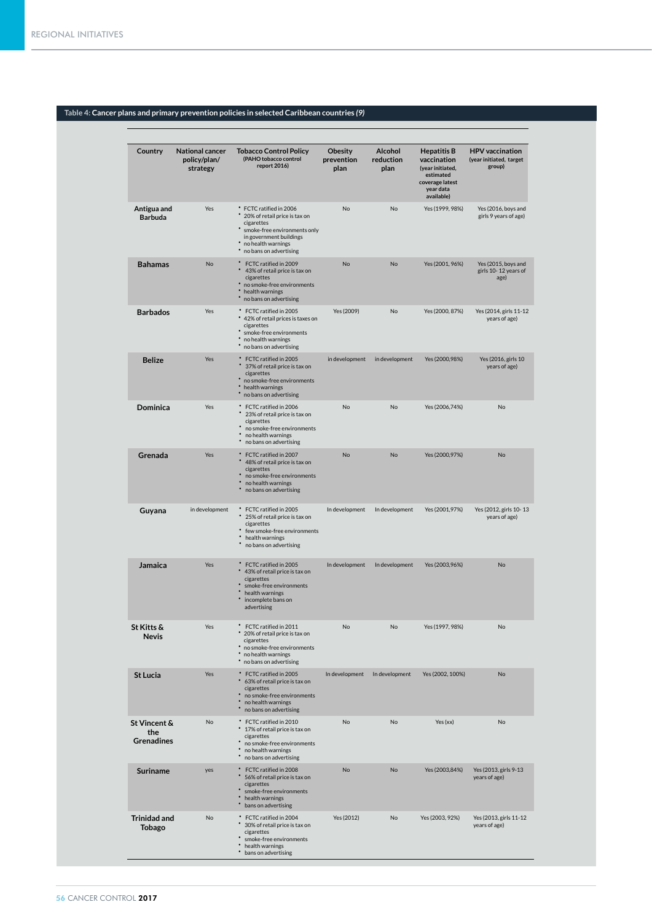# **Table 4: Cancer plans and primary prevention policies in selected Caribbean countries** *(9)*

| Country                                  | <b>National cancer</b><br>policy/plan/<br>strategy | <b>Tobacco Control Policy</b><br>(PAHO tobacco control<br>report 2016)                                                                                                              | <b>Obesity</b><br>prevention<br>plan | <b>Alcohol</b><br>reduction<br>plan | <b>Hepatitis B</b><br>vaccination<br>(year initiated,<br>estimated<br>coverage latest<br>year data<br>available) | <b>HPV</b> vaccination<br>(year initiated, target<br>group) |
|------------------------------------------|----------------------------------------------------|-------------------------------------------------------------------------------------------------------------------------------------------------------------------------------------|--------------------------------------|-------------------------------------|------------------------------------------------------------------------------------------------------------------|-------------------------------------------------------------|
| Antigua and<br><b>Barbuda</b>            | Yes                                                | * FCTC ratified in 2006<br>20% of retail price is tax on<br>cigarettes<br>smoke-free environments only<br>in government buildings<br>no health warnings<br>* no bans on advertising | No                                   | No                                  | Yes (1999, 98%)                                                                                                  | Yes (2016, boys and<br>girls 9 years of age)                |
| <b>Bahamas</b>                           | No                                                 | ٠<br>FCTC ratified in 2009<br>43% of retail price is tax on<br>cigarettes<br>no smoke-free environments<br>٠<br>health warnings<br>no bans on advertising                           | No                                   | No                                  | Yes (2001, 96%)                                                                                                  | Yes (2015, boys and<br>girls 10-12 years of<br>age)         |
| <b>Barbados</b>                          | Yes                                                | * FCTC ratified in 2005<br>* 42% of retail prices is taxes on<br>cigarettes<br>smoke-free environments<br>no health warnings<br>no bans on advertising                              | Yes (2009)                           | No                                  | Yes (2000, 87%)                                                                                                  | Yes (2014, girls 11-12<br>years of age)                     |
| <b>Belize</b>                            | Yes                                                | FCTC ratified in 2005<br>37% of retail price is tax on<br>cigarettes<br>* no smoke-free environments<br>• health warnings<br>no bans on advertising                                 | in development                       | in development                      | Yes (2000,98%)                                                                                                   | Yes (2016, girls 10<br>years of age)                        |
| Dominica                                 | Yes                                                | * FCTC ratified in 2006<br>23% of retail price is tax on<br>cigarettes<br>no smoke-free environments<br>no health warnings<br>no bans on advertising                                | No                                   | No                                  | Yes (2006,74%)                                                                                                   | No                                                          |
| Grenada                                  | Yes                                                | FCTC ratified in 2007<br>48% of retail price is tax on<br>cigarettes<br>no smoke-free environments<br>no health warnings<br>no bans on advertising                                  | No                                   | No                                  | Yes (2000,97%)                                                                                                   | No                                                          |
| Guyana                                   | in development                                     | * FCTC ratified in 2005<br>25% of retail price is tax on<br>cigarettes<br>few smoke-free environments<br>health warnings<br>no bans on advertising                                  | In development                       | In development                      | Yes (2001,97%)                                                                                                   | Yes (2012, girls 10-13<br>years of age)                     |
| Jamaica                                  | Yes                                                | * FCTC ratified in 2005<br>43% of retail price is tax on<br>cigarettes<br>smoke-free environments<br>health warnings<br>incomplete bans on<br>advertising                           | In development                       | In development                      | Yes (2003,96%)                                                                                                   | No                                                          |
| St Kitts &<br><b>Nevis</b>               | Yes                                                | FCTC ratified in 2011<br>20% of retail price is tax on<br>cigarettes<br>no smoke-free environments<br>no health warnings<br>* no bans on advertising                                | No                                   | No                                  | Yes (1997, 98%)                                                                                                  | No                                                          |
| <b>St Lucia</b>                          | Yes                                                | * FCTC ratified in 2005<br>63% of retail price is tax on<br>cigarettes<br>no smoke-free environments<br>no health warnings<br>no bans on advertising                                | In development                       | In development                      | Yes (2002, 100%)                                                                                                 | No                                                          |
| St Vincent &<br>the<br><b>Grenadines</b> | No                                                 | * FCTC ratified in 2010<br>17% of retail price is tax on<br>cigarettes<br>no smoke-free environments<br>no health warnings<br>no bans on advertising                                | No                                   | No                                  | Yes (xx)                                                                                                         | No                                                          |
| <b>Suriname</b>                          | yes                                                | FCTC ratified in 2008<br>$\bullet$<br>56% of retail price is tax on<br>cigarettes<br>smoke-free environments<br>health warnings<br>bans on advertising                              | No                                   | No                                  | Yes (2003,84%)                                                                                                   | Yes (2013, girls 9-13<br>years of age)                      |
| <b>Trinidad and</b><br><b>Tobago</b>     | No                                                 | * FCTC ratified in 2004<br>30% of retail price is tax on<br>cigarettes<br>smoke-free environments<br>health warnings<br>bans on advertising                                         | Yes (2012)                           | No                                  | Yes (2003, 92%)                                                                                                  | Yes (2013, girls 11-12<br>years of age)                     |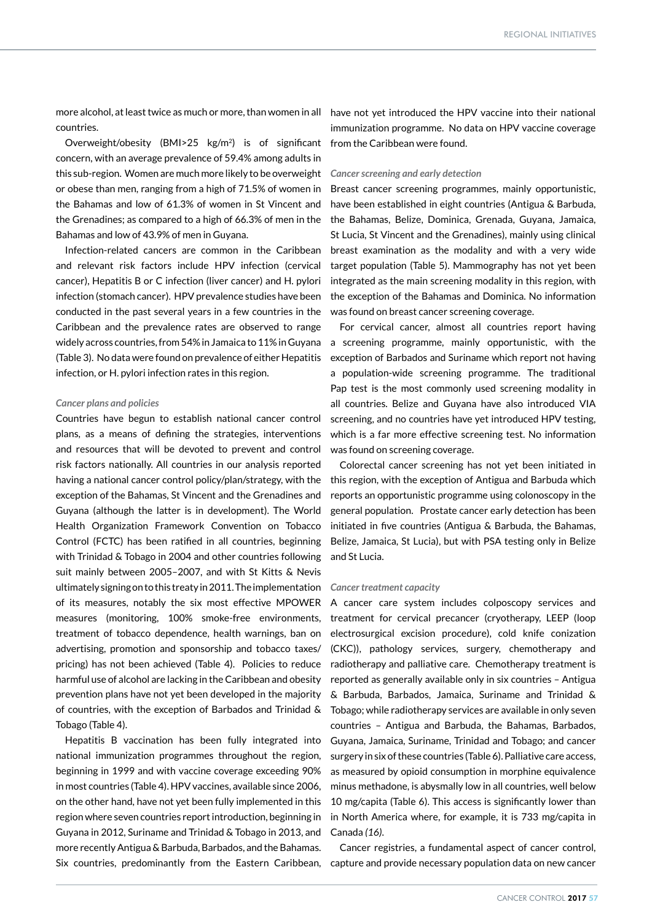countries.

Overweight/obesity (BMI>25 kg/m2) is of significant concern, with an average prevalence of 59.4% among adults in this sub-region. Women are much more likely to be overweight or obese than men, ranging from a high of 71.5% of women in the Bahamas and low of 61.3% of women in St Vincent and the Grenadines; as compared to a high of 66.3% of men in the Bahamas and low of 43.9% of men in Guyana.

Infection-related cancers are common in the Caribbean and relevant risk factors include HPV infection (cervical cancer), Hepatitis B or C infection (liver cancer) and H. pylori infection (stomach cancer). HPV prevalence studies have been conducted in the past several years in a few countries in the Caribbean and the prevalence rates are observed to range widely across countries, from 54% in Jamaica to 11% in Guyana (Table 3). No data were found on prevalence of either Hepatitis infection, or H. pylori infection rates in this region.

#### *Cancer plans and policies*

Countries have begun to establish national cancer control plans, as a means of defining the strategies, interventions and resources that will be devoted to prevent and control risk factors nationally. All countries in our analysis reported having a national cancer control policy/plan/strategy, with the exception of the Bahamas, St Vincent and the Grenadines and Guyana (although the latter is in development). The World Health Organization Framework Convention on Tobacco Control (FCTC) has been ratified in all countries, beginning with Trinidad & Tobago in 2004 and other countries following suit mainly between 2005–2007, and with St Kitts & Nevis ultimately signing on to this treaty in 2011. The implementation of its measures, notably the six most effective MPOWER measures (monitoring, 100% smoke-free environments, treatment of tobacco dependence, health warnings, ban on advertising, promotion and sponsorship and tobacco taxes/ pricing) has not been achieved (Table 4). Policies to reduce harmful use of alcohol are lacking in the Caribbean and obesity prevention plans have not yet been developed in the majority of countries, with the exception of Barbados and Trinidad & Tobago (Table 4).

Hepatitis B vaccination has been fully integrated into national immunization programmes throughout the region, beginning in 1999 and with vaccine coverage exceeding 90% in most countries (Table 4). HPV vaccines, available since 2006, on the other hand, have not yet been fully implemented in this region where seven countries report introduction, beginning in Guyana in 2012, Suriname and Trinidad & Tobago in 2013, and more recently Antigua & Barbuda, Barbados, and the Bahamas.

more alcohol, at least twice as much or more, than women in all have not yet introduced the HPV vaccine into their national immunization programme. No data on HPV vaccine coverage from the Caribbean were found.

#### *Cancer screening and early detection*

Breast cancer screening programmes, mainly opportunistic, have been established in eight countries (Antigua & Barbuda, the Bahamas, Belize, Dominica, Grenada, Guyana, Jamaica, St Lucia, St Vincent and the Grenadines), mainly using clinical breast examination as the modality and with a very wide target population (Table 5). Mammography has not yet been integrated as the main screening modality in this region, with the exception of the Bahamas and Dominica. No information was found on breast cancer screening coverage.

For cervical cancer, almost all countries report having a screening programme, mainly opportunistic, with the exception of Barbados and Suriname which report not having a population-wide screening programme. The traditional Pap test is the most commonly used screening modality in all countries. Belize and Guyana have also introduced VIA screening, and no countries have yet introduced HPV testing, which is a far more effective screening test. No information was found on screening coverage.

Colorectal cancer screening has not yet been initiated in this region, with the exception of Antigua and Barbuda which reports an opportunistic programme using colonoscopy in the general population. Prostate cancer early detection has been initiated in five countries (Antigua & Barbuda, the Bahamas, Belize, Jamaica, St Lucia), but with PSA testing only in Belize and St Lucia.

#### *Cancer treatment capacity*

A cancer care system includes colposcopy services and treatment for cervical precancer (cryotherapy, LEEP (loop electrosurgical excision procedure), cold knife conization (CKC)), pathology services, surgery, chemotherapy and radiotherapy and palliative care. Chemotherapy treatment is reported as generally available only in six countries – Antigua & Barbuda, Barbados, Jamaica, Suriname and Trinidad & Tobago; while radiotherapy services are available in only seven countries – Antigua and Barbuda, the Bahamas, Barbados, Guyana, Jamaica, Suriname, Trinidad and Tobago; and cancer surgery in six of these countries (Table 6). Palliative care access, as measured by opioid consumption in morphine equivalence minus methadone, is abysmally low in all countries, well below 10 mg/capita (Table 6). This access is significantly lower than in North America where, for example, it is 733 mg/capita in Canada *(16)*.

Six countries, predominantly from the Eastern Caribbean, capture and provide necessary population data on new cancer Cancer registries, a fundamental aspect of cancer control,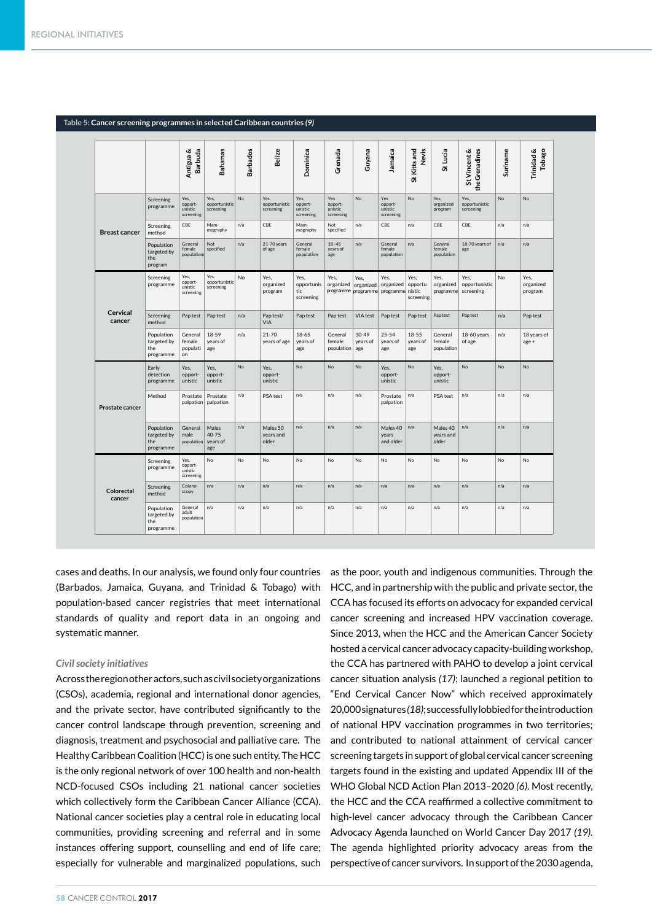|                        |                                               | Antigua&<br><b>Barbuda</b>              | Bahamas                            | <b>Barbados</b> | <b>Belize</b>                      | Dominica                                | Grenada                                  | Guyana                       | Jamaica                                | St Kitts and<br>Nevis        | St Lucia                        | St Vincent &<br>the Grenadines     | Suriname  | Trinidad &<br><b>Tobago</b>  |
|------------------------|-----------------------------------------------|-----------------------------------------|------------------------------------|-----------------|------------------------------------|-----------------------------------------|------------------------------------------|------------------------------|----------------------------------------|------------------------------|---------------------------------|------------------------------------|-----------|------------------------------|
|                        | Screening<br>programme                        | Yes,<br>opport-<br>unistic<br>screening | Yes.<br>opportunistic<br>screening | <b>No</b>       | Yes.<br>opportunistic<br>screening | Yes.<br>opport-<br>unistic<br>screening | Yes<br>opport-<br>unistic<br>screening   | <b>No</b>                    | Yes<br>opport-<br>unistic<br>screening | <b>No</b>                    | Yes.<br>organized<br>program    | Yes,<br>opportunistic<br>screening | <b>No</b> | <b>No</b>                    |
| <b>Breast cancer</b>   | Screening<br>method                           | CBE                                     | Mam-<br>mography                   | n/a             | CBE                                | Mam-<br>mography                        | Not<br>specified                         | n/a                          | CBE                                    | n/a                          | CBE                             | CBE                                | n/a       | n/a                          |
|                        | Population<br>targeted by<br>the<br>program   | General<br>female<br>population         | Not<br>specified                   | n/a             | 21-70 years<br>of age              | General<br>female<br>population         | $18 - 45$<br>years of<br>age             | n/a                          | General<br>female<br>population        | n/a                          | General<br>female<br>population | 18-70 years of<br>age              | n/a       | n/a                          |
|                        | Screening<br>programme                        | Yes,<br>opport-<br>unistic<br>screening | Yes,<br>opportunistic<br>screening | No              | Yes.<br>organized<br>program       | Yes.<br>opportunis<br>tic<br>screening  | Yes.<br>organized<br>programme programme | Yes.<br>organized            | Yes.<br>organized<br>programme nistic  | Yes.<br>opportu<br>screening | Yes.<br>organized<br>programme  | Yes.<br>opportunistic<br>screening | No        | Yes.<br>organized<br>program |
| Cervical<br>cancer     | Screening<br>method                           | Pap test                                | Pap test                           | n/a             | Pap test/<br>VIA                   | Pap test                                | Pap test                                 | VIA test                     | Pap test                               | Pap test                     | Pap test                        | Pap test                           | n/a       | Pap test                     |
|                        | Population<br>targeted by<br>the<br>programme | General<br>female<br>populati<br>on     | 18-59<br>years of<br>age           | n/a             | $21 - 70$<br>years of age          | 18-65<br>years of<br>age                | General<br>female<br>population          | $30 - 49$<br>years of<br>age | $25 - 54$<br>years of<br>age           | $18 - 55$<br>years of<br>age | General<br>female<br>population | 18-60 years<br>of age              | n/a       | 18 years of<br>age +         |
|                        | Early<br>detection<br>programme               | Yes,<br>opport-<br>unistic              | Yes,<br>opport-<br>unistic         | <b>No</b>       | Yes.<br>opport-<br>unistic         | N <sub>0</sub>                          | N <sub>0</sub>                           | <b>No</b>                    | Yes,<br>opport-<br>unistic             | <b>No</b>                    | Yes.<br>opport-<br>unistic      | <b>No</b>                          | No        | N <sub>0</sub>               |
| <b>Prostate cancer</b> | Method                                        | Prostate<br>palpation                   | Prostate<br>palpation              | n/a             | PSA test                           | n/a                                     | n/a                                      | n/a                          | Prostate<br>palpation                  | n/a                          | PSA test                        | n/a                                | n/a       | n/a                          |
|                        | Population<br>targeted by<br>the<br>programme | General<br>male<br>population           | Males<br>40-75<br>vears of<br>age  | n/a             | Males 50<br>years and<br>older     | n/a                                     | n/a                                      | n/a                          | Males 40<br>years<br>and older         | n/a                          | Males 40<br>years and<br>older  | n/a                                | n/a       | n/a                          |
|                        | Screening<br>programme                        | Yes,<br>opport-<br>unistic<br>screening | N <sub>o</sub>                     | No              | No                                 | <b>No</b>                               | No                                       | No                           | No                                     | <b>No</b>                    | No                              | No.                                | No        | No.                          |
| Colorectal<br>cancer   | Screening<br>method                           | Colono-<br>scopy                        | n/a                                | n/a             | n/a                                | n/a                                     | n/a                                      | n/a                          | n/a                                    | n/a                          | n/a                             | n/a                                | n/a       | n/a                          |
|                        | Population<br>targeted by<br>the<br>programme | General<br>adult<br>population          | n/a                                | n/a             | n/a                                | n/a                                     | n/a                                      | n/a                          | n/a                                    | n/a                          | n/a                             | n/a                                | n/a       | n/a                          |

#### **Table 5: Cancer screening programmes in selected Caribbean countries** *(9)*

cases and deaths. In our analysis, we found only four countries (Barbados, Jamaica, Guyana, and Trinidad & Tobago) with population-based cancer registries that meet international standards of quality and report data in an ongoing and systematic manner.

# *Civil society initiatives*

Across the region other actors, such as civil society organizations (CSOs), academia, regional and international donor agencies, and the private sector, have contributed significantly to the cancer control landscape through prevention, screening and diagnosis, treatment and psychosocial and palliative care. The Healthy Caribbean Coalition (HCC) is one such entity. The HCC is the only regional network of over 100 health and non-health NCD-focused CSOs including 21 national cancer societies which collectively form the Caribbean Cancer Alliance (CCA). National cancer societies play a central role in educating local communities, providing screening and referral and in some instances offering support, counselling and end of life care; especially for vulnerable and marginalized populations, such

as the poor, youth and indigenous communities. Through the HCC, and in partnership with the public and private sector, the CCA has focused its efforts on advocacy for expanded cervical cancer screening and increased HPV vaccination coverage. Since 2013, when the HCC and the American Cancer Society hosted a cervical cancer advocacy capacity-building workshop, the CCA has partnered with PAHO to develop a joint cervical cancer situation analysis *(17)*; launched a regional petition to "End Cervical Cancer Now" which received approximately 20,000 signatures *(18)*; successfully lobbied for the introduction of national HPV vaccination programmes in two territories; and contributed to national attainment of cervical cancer screening targets in support of global cervical cancer screening targets found in the existing and updated Appendix III of the WHO Global NCD Action Plan 2013–2020 *(6)*. Most recently, the HCC and the CCA reaffirmed a collective commitment to high-level cancer advocacy through the Caribbean Cancer Advocacy Agenda launched on World Cancer Day 2017 *(19)*. The agenda highlighted priority advocacy areas from the perspective of cancer survivors. In support of the 2030 agenda,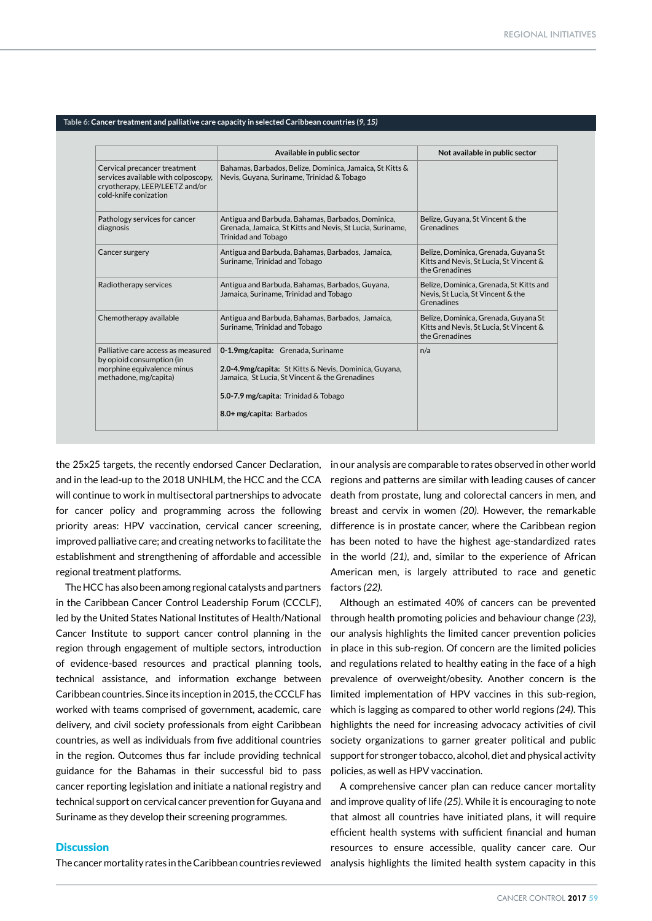|                                                                                                                                | Available in public sector                                                                                                                                                                                       | Not available in public sector                                                                    |
|--------------------------------------------------------------------------------------------------------------------------------|------------------------------------------------------------------------------------------------------------------------------------------------------------------------------------------------------------------|---------------------------------------------------------------------------------------------------|
| Cervical precancer treatment<br>services available with colposcopy,<br>cryotherapy, LEEP/LEETZ and/or<br>cold-knife conization | Bahamas, Barbados, Belize, Dominica, Jamaica, St Kitts &<br>Nevis, Guyana, Suriname, Trinidad & Tobago                                                                                                           |                                                                                                   |
| Pathology services for cancer<br>diagnosis                                                                                     | Antigua and Barbuda, Bahamas, Barbados, Dominica,<br>Grenada, Jamaica, St Kitts and Nevis, St Lucia, Suriname,<br><b>Trinidad and Tobago</b>                                                                     | Belize, Guyana, St Vincent & the<br><b>Grenadines</b>                                             |
| Cancer surgery                                                                                                                 | Antigua and Barbuda, Bahamas, Barbados, Jamaica,<br>Suriname, Trinidad and Tobago                                                                                                                                | Belize, Dominica, Grenada, Guyana St<br>Kitts and Nevis, St Lucia, St Vincent &<br>the Grenadines |
| Radiotherapy services                                                                                                          | Antigua and Barbuda, Bahamas, Barbados, Guyana,<br>Jamaica, Suriname, Trinidad and Tobago                                                                                                                        | Belize, Dominica, Grenada, St Kitts and<br>Nevis, St Lucia, St Vincent & the<br>Grenadines        |
| Chemotherapy available                                                                                                         | Antigua and Barbuda, Bahamas, Barbados, Jamaica,<br>Suriname, Trinidad and Tobago                                                                                                                                | Belize, Dominica, Grenada, Guyana St<br>Kitts and Nevis, St Lucia, St Vincent &<br>the Grenadines |
| Palliative care access as measured<br>by opioid consumption (in<br>morphine equivalence minus<br>methadone, mg/capita)         | 0-1.9mg/capita: Grenada, Suriname<br>2.0-4.9mg/capita: St Kitts & Nevis, Dominica, Guyana,<br>Jamaica, St Lucia, St Vincent & the Grenadines<br>5.0-7.9 mg/capita: Trinidad & Tobago<br>8.0+ mg/capita: Barbados | n/a                                                                                               |

#### **Table 6: Cancer treatment and palliative care capacity in selected Caribbean countries (***9, 15)*

the 25x25 targets, the recently endorsed Cancer Declaration, in our analysis are comparable to rates observed in other world and in the lead-up to the 2018 UNHLM, the HCC and the CCA will continue to work in multisectoral partnerships to advocate for cancer policy and programming across the following priority areas: HPV vaccination, cervical cancer screening, improved palliative care; and creating networks to facilitate the establishment and strengthening of affordable and accessible regional treatment platforms.

The HCC has also been among regional catalysts and partners in the Caribbean Cancer Control Leadership Forum (CCCLF), led by the United States National Institutes of Health/National Cancer Institute to support cancer control planning in the region through engagement of multiple sectors, introduction of evidence-based resources and practical planning tools, technical assistance, and information exchange between Caribbean countries. Since its inception in 2015, the CCCLF has worked with teams comprised of government, academic, care delivery, and civil society professionals from eight Caribbean countries, as well as individuals from five additional countries in the region. Outcomes thus far include providing technical guidance for the Bahamas in their successful bid to pass cancer reporting legislation and initiate a national registry and technical support on cervical cancer prevention for Guyana and Suriname as they develop their screening programmes.

# regions and patterns are similar with leading causes of cancer death from prostate, lung and colorectal cancers in men, and breast and cervix in women *(20).* However, the remarkable difference is in prostate cancer, where the Caribbean region has been noted to have the highest age-standardized rates in the world *(21)*, and, similar to the experience of African American men, is largely attributed to race and genetic factors *(22).*

Although an estimated 40% of cancers can be prevented through health promoting policies and behaviour change *(23)*, our analysis highlights the limited cancer prevention policies in place in this sub-region. Of concern are the limited policies and regulations related to healthy eating in the face of a high prevalence of overweight/obesity. Another concern is the limited implementation of HPV vaccines in this sub-region, which is lagging as compared to other world regions *(24)*. This highlights the need for increasing advocacy activities of civil society organizations to garner greater political and public support for stronger tobacco, alcohol, diet and physical activity policies, as well as HPV vaccination.

A comprehensive cancer plan can reduce cancer mortality and improve quality of life *(25)*. While it is encouraging to note that almost all countries have initiated plans, it will require efficient health systems with sufficient financial and human resources to ensure accessible, quality cancer care. Our analysis highlights the limited health system capacity in this

# **Discussion**

The cancer mortality rates in the Caribbean countries reviewed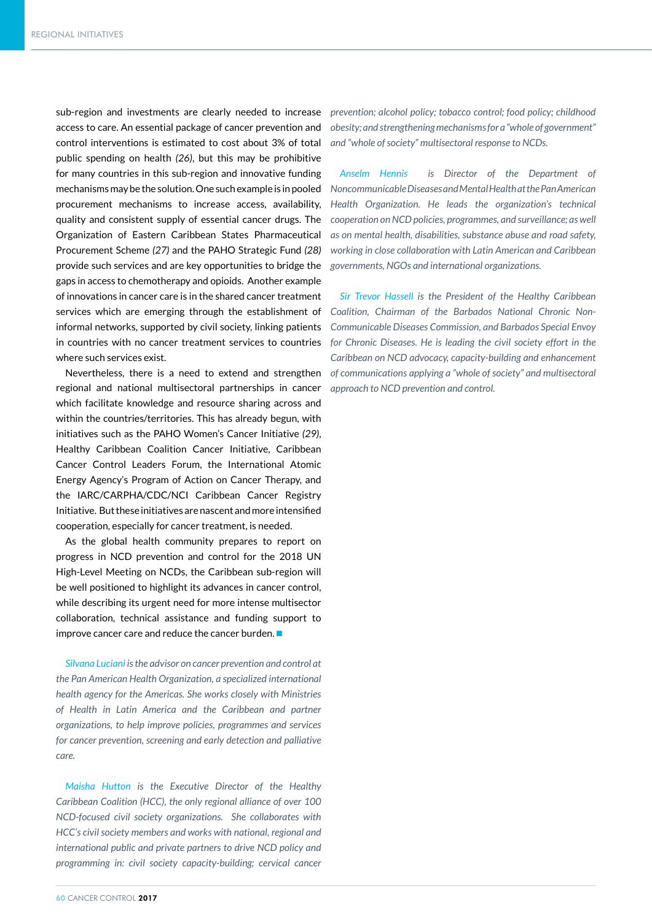sub-region and investments are clearly needed to increase access to care. An essential package of cancer prevention and control interventions is estimated to cost about 3% of total public spending on health *(26)*, but this may be prohibitive for many countries in this sub-region and innovative funding mechanisms may be the solution. One such example is in pooled procurement mechanisms to increase access, availability, quality and consistent supply of essential cancer drugs. The Organization of Eastern Caribbean States Pharmaceutical Procurement Scheme *(27)* and the PAHO Strategic Fund *(28)* provide such services and are key opportunities to bridge the gaps in access to chemotherapy and opioids. Another example of innovations in cancer care is in the shared cancer treatment services which are emerging through the establishment of informal networks, supported by civil society, linking patients in countries with no cancer treatment services to countries where such services exist.

Nevertheless, there is a need to extend and strengthen regional and national multisectoral partnerships in cancer which facilitate knowledge and resource sharing across and within the countries/territories. This has already begun, with initiatives such as the PAHO Women's Cancer Initiative *(29)*, Healthy Caribbean Coalition Cancer Initiative, Caribbean Cancer Control Leaders Forum, the International Atomic Energy Agency's Program of Action on Cancer Therapy, and the IARC/CARPHA/CDC/NCI Caribbean Cancer Registry Initiative. But these initiatives are nascent and more intensified cooperation, especially for cancer treatment, is needed.

As the global health community prepares to report on progress in NCD prevention and control for the 2018 UN High-Level Meeting on NCDs, the Caribbean sub-region will be well positioned to highlight its advances in cancer control, while describing its urgent need for more intense multisector collaboration, technical assistance and funding support to improve cancer care and reduce the cancer burden.  $\blacksquare$ 

*Silvana Luciani is the advisor on cancer prevention and control at the Pan American Health Organization, a specialized international health agency for the Americas. She works closely with Ministries of Health in Latin America and the Caribbean and partner organizations, to help improve policies, programmes and services for cancer prevention, screening and early detection and palliative care.* 

*Maisha Hutton is the Executive Director of the Healthy Caribbean Coalition (HCC), the only regional alliance of over 100 NCD-focused civil society organizations. She collaborates with HCC's civil society members and works with national, regional and international public and private partners to drive NCD policy and programming in: civil society capacity-building; cervical cancer*  *prevention; alcohol policy; tobacco control; food policy; childhood obesity; and strengthening mechanisms for a "whole of government" and "whole of society" multisectoral response to NCDs.*

*Anselm Hennis is Director of the Department of Noncommunicable Diseases and Mental Health at the Pan American Health Organization. He leads the organization's technical cooperation on NCD policies, programmes, and surveillance; as well as on mental health, disabilities, substance abuse and road safety, working in close collaboration with Latin American and Caribbean governments, NGOs and international organizations.* 

*Sir Trevor Hassell is the President of the Healthy Caribbean Coalition, Chairman of the Barbados National Chronic Non-Communicable Diseases Commission, and Barbados Special Envoy for Chronic Diseases. He is leading the civil society effort in the Caribbean on NCD advocacy, capacity-building and enhancement of communications applying a "whole of society" and multisectoral approach to NCD prevention and control.*